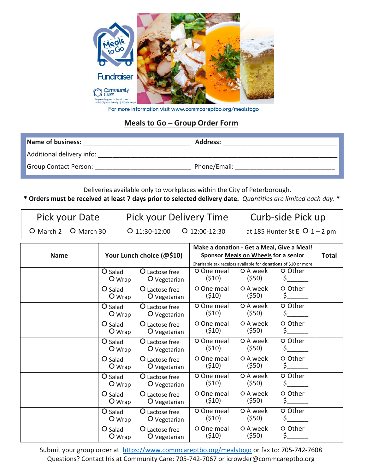

For more information visit www.commcareptbo.org/mealstogo

## **Meals to Go – Group Order Form**

| Name of business:            | <b>Address:</b> |
|------------------------------|-----------------|
| Additional delivery info:    |                 |
| <b>Group Contact Person:</b> | Phone/Email:    |

Deliveries available only to workplaces within the City of Peterborough.

**\* Orders must be received at least 7 days prior to selected delivery date.** *Quantities are limited each day*. **\***

Pick your Date Pick your Delivery Time Curb-side Pick up

○ March 2 ○ March 30 ○ 11:30-12:00 ○ 12:00-12:30 at 185 Hunter St E ○ <sup>1</sup>– 2 pm

|             |                           |                |                                                                 | Make a donation - Get a Meal, Give a Meal! |         |       |
|-------------|---------------------------|----------------|-----------------------------------------------------------------|--------------------------------------------|---------|-------|
| <b>Name</b> | Your Lunch choice (@\$10) |                | Sponsor Meals on Wheels for a senior                            |                                            |         | Total |
|             |                           |                | Charitable tax receipts available for donations of \$10 or more |                                            |         |       |
|             | O Salad                   | O Lactose free | O One meal                                                      | O A week                                   | O Other |       |
|             | O Wrap                    | O Vegetarian   | (510)                                                           | $($ \$50)                                  | \$      |       |
|             | O Salad                   | O Lactose free | O One meal                                                      | O A week                                   | O Other |       |
|             | O Wrap                    | O Vegetarian   | (510)                                                           | (550)                                      | \$      |       |
|             | O Salad                   | O Lactose free | O One meal                                                      | O A week                                   | O Other |       |
|             | $O_{Wrap}$                | O Vegetarian   | (510)                                                           | (550)                                      | \$      |       |
|             | O Salad                   | O Lactose free | O One meal                                                      | O A week                                   | O Other |       |
|             | O Wrap                    | O Vegetarian   | (510)                                                           | (550)                                      | \$      |       |
|             | O Salad                   | O Lactose free | O One meal                                                      | O A week                                   | O Other |       |
|             | O Wrap                    | O Vegetarian   | (510)                                                           | $($ \$50)                                  | \$      |       |
|             | O Salad                   | O Lactose free | O One meal                                                      | O A week                                   | O Other |       |
|             | O Wrap                    | O Vegetarian   | (510)                                                           | (550)                                      | \$      |       |
|             | O Salad                   | O Lactose free | O One meal                                                      | O A week                                   | O Other |       |
|             | O Wrap                    | O Vegetarian   | (510)                                                           | (550)                                      | \$      |       |
|             | O Salad                   | O Lactose free | O One meal                                                      | O A week                                   | O Other |       |
|             | O Wrap                    | O Vegetarian   | (510)                                                           | $($ \$50)                                  | Ś.      |       |
|             | O Salad                   | O Lactose free | O One meal                                                      | O A week                                   | O Other |       |
|             | O Wrap                    | O Vegetarian   | (510)                                                           | (550)                                      | \$      |       |
|             | O Salad                   | O Lactose free | O One meal                                                      | O A week                                   | O Other |       |
|             | O Wrap                    | O Vegetarian   | (510)                                                           | $($ \$50)                                  | \$      |       |

Submit your group order at <https://www.commcareptbo.org/mealstogo> or fax to: 705-742-7608 Questions? Contact Iris at Community Care: 705-742-7067 or icrowder@commcareptbo.org